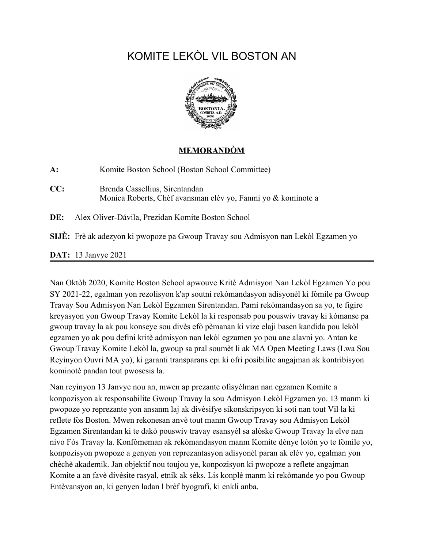# KOMITE LEKÒL VIL BOSTON AN



#### **MEMORANDÒM**

| $A$ : | Komite Boston School (Boston School Committee)                                                 |
|-------|------------------------------------------------------------------------------------------------|
| CC:   | Brenda Cassellius, Sirentandan<br>Monica Roberts, Chèf avansman elèv yo, Fanmi yo & kominote a |
| DE:   | Alex Oliver-Dávila, Prezidan Komite Boston School                                              |
|       | SIJE: Frè ak adezyon ki pwopoze pa Gwoup Travay sou Admisyon nan Lekòl Egzamen yo              |
|       | <b>DAT:</b> 13 Janvye 2021                                                                     |

Nan Oktòb 2020, Komite Boston School apwouve Kritè Admisyon Nan Lekòl Egzamen Yo pou SY 2021-22, egalman yon rezolisyon k'ap soutni rekòmandasyon adisyonèl ki fòmile pa Gwoup Travay Sou Admisyon Nan Lekòl Egzamen Sirentandan. Pami rekòmandasyon sa yo, te figire kreyasyon yon Gwoup Travay Komite Lekòl la ki responsab pou pouswiv travay ki kòmanse pa gwoup travay la ak pou konseye sou divès efò pèmanan ki vize elaji basen kandida pou lekòl egzamen yo ak pou defini kritè admisyon nan lekòl egzamen yo pou ane alavni yo. Antan ke Gwoup Travay Komite Lekòl la, gwoup sa pral soumèt li ak MA Open Meeting Laws (Lwa Sou Reyinyon Ouvri MA yo), ki garanti transparans epi ki ofri posibilite angajman ak kontribisyon kominotè pandan tout pwosesis la.

Nan reyinyon 13 Janvye nou an, mwen ap prezante ofisyèlman nan egzamen Komite a konpozisyon ak responsabilite Gwoup Travay la sou Admisyon Lekòl Egzamen yo. 13 manm ki pwopoze yo reprezante yon ansanm laj ak divèsifye sikonskripsyon ki soti nan tout Vil la ki reflete fòs Boston. Mwen rekonesan anvè tout manm Gwoup Travay sou Admisyon Lekòl Egzamen Sirentandan ki te dakò pouswiv travay esansyèl sa alòske Gwoup Travay la elve nan nivo Fòs Travay la. Konfòmeman ak rekòmandasyon manm Komite dènye lotòn yo te fòmile yo, konpozisyon pwopoze a genyen yon reprezantasyon adisyonèl paran ak elèv yo, egalman yon chèchè akademik. Jan objektif nou toujou ye, konpozisyon ki pwopoze a reflete angajman Komite a an favè divèsite rasyal, etnik ak sèks. Lis konplè manm ki rekòmande yo pou Gwoup Entèvansyon an, ki genyen ladan l brèf byografi, ki enkli anba.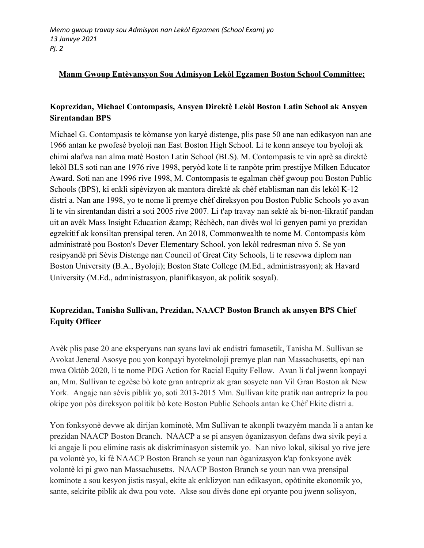#### **Manm Gwoup Entèvansyon Sou Admisyon Lekòl Egzamen Boston School Committee:**

## **Koprezidan, Michael Contompasis, Ansyen Direktè Lekòl Boston Latin School ak Ansyen Sirentandan BPS**

Michael G. Contompasis te kòmanse yon karyè distenge, plis pase 50 ane nan edikasyon nan ane 1966 antan ke pwofesè byoloji nan East Boston High School. Li te konn anseye tou byoloji ak chimi alafwa nan alma matè Boston Latin School (BLS). M. Contompasis te vin aprè sa direktè lekòl BLS soti nan ane 1976 rive 1998, peryòd kote li te ranpòte prim prestijye Milken Educator Award. Soti nan ane 1996 rive 1998, M. Contompasis te egalman chèf gwoup pou Boston Public Schools (BPS), ki enkli sipèvizyon ak mantora direktè ak chèf etablisman nan dis lekòl K-12 distri a. Nan ane 1998, yo te nome li premye chèf direksyon pou Boston Public Schools yo avan li te vin sirentandan distri a soti 2005 rive 2007. Li t'ap travay nan sektè ak bi-non-likratif pandan uit an avèk Mass Insight Education & amp; Rèchèch, nan divès wol ki genyen pami yo prezidan egzekitif ak konsiltan prensipal teren. An 2018, Commonwealth te nome M. Contompasis kòm administratè pou Boston's Dever Elementary School, yon lekòl redresman nivo 5. Se yon resipyandè pri Sèvis Distenge nan Council of Great City Schools, li te resevwa diplom nan Boston University (B.A., Byoloji); Boston State College (M.Ed., administrasyon); ak Havard University (M.Ed., administrasyon, planifikasyon, ak politik sosyal).

# **Koprezidan, Tanisha Sullivan, Prezidan, NAACP Boston Branch ak ansyen BPS Chief Equity Officer**

Avèk plis pase 20 ane eksperyans nan syans lavi ak endistri famasetik, Tanisha M. Sullivan se Avokat Jeneral Asosye pou yon konpayi byoteknoloji premye plan nan Massachusetts, epi nan mwa Oktòb 2020, li te nome PDG Action for Racial Equity Fellow. Avan li t'al jwenn konpayi an, Mm. Sullivan te egzèse bò kote gran antrepriz ak gran sosyete nan Vil Gran Boston ak New York. Angaje nan sèvis piblik yo, soti 2013-2015 Mm. Sullivan kite pratik nan antrepriz la pou okipe yon pòs direksyon politik bò kote Boston Public Schools antan ke Chèf Ekite distri a.

Yon fonksyonè devwe ak dirijan kominotè, Mm Sullivan te akonpli twazyèm manda li a antan ke prezidan NAACP Boston Branch. NAACP a se pi ansyen òganizasyon defans dwa sivik peyi a ki angaje li pou elimine rasis ak diskriminasyon sistemik yo. Nan nivo lokal, sikisal yo rive jere pa volontè yo, ki fè NAACP Boston Branch se youn nan òganizasyon k'ap fonksyone avèk volontè ki pi gwo nan Massachusetts. NAACP Boston Branch se youn nan vwa prensipal kominote a sou kesyon jistis rasyal, ekite ak enklizyon nan edikasyon, opòtinite ekonomik yo, sante, sekirite piblik ak dwa pou vote. Akse sou divès done epi oryante pou jwenn solisyon,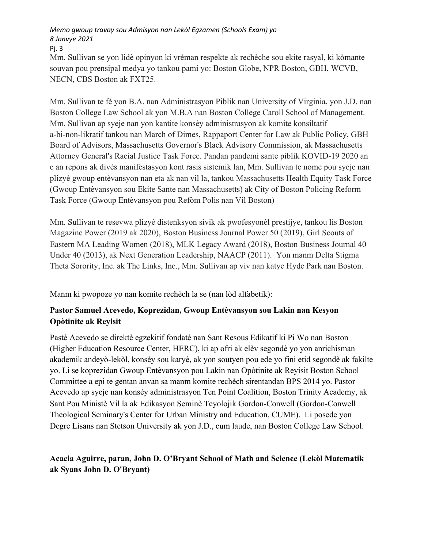## *Memo gwoup travay sou Admisyon nan Lekòl Egzamen (Schools Exam) yo 8 Janvye 2021*

Pj. 3

Mm. Sullivan se yon lidè opinyon ki vrèman respekte ak rechèche sou ekite rasyal, ki kòmante souvan pou prensipal medya yo tankou pami yo: Boston Globe, NPR Boston, GBH, WCVB, NECN, CBS Boston ak FXT25.

Mm. Sullivan te fè yon B.A. nan Administrasyon Piblik nan University of Virginia, yon J.D. nan Boston College Law School ak yon M.B.A nan Boston College Caroll School of Management. Mm. Sullivan ap syeje nan yon kantite konsèy administrasyon ak komite konsiltatif a-bi-non-likratif tankou nan March of Dimes, Rappaport Center for Law ak Public Policy, GBH Board of Advisors, Massachusetts Governor's Black Advisory Commission, ak Massachusetts Attorney General's Racial Justice Task Force. Pandan pandemi sante piblik KOVID-19 2020 an e an repons ak divès manifestasyon kont rasis sistemik lan, Mm. Sullivan te nome pou syeje nan plizyè gwoup entèvansyon nan eta ak nan vil la, tankou Massachusetts Health Equity Task Force (Gwoup Entèvansyon sou Ekite Sante nan Massachusetts) ak City of Boston Policing Reform Task Force (Gwoup Entèvansyon pou Refòm Polis nan Vil Boston)

Mm. Sullivan te resevwa plizyè distenksyon sivik ak pwofesyonèl prestijye, tankou lis Boston Magazine Power (2019 ak 2020), Boston Business Journal Power 50 (2019), Girl Scouts of Eastern MA Leading Women (2018), MLK Legacy Award (2018), Boston Business Journal 40 Under 40 (2013), ak Next Generation Leadership, NAACP (2011). Yon manm Delta Stigma Theta Sorority, Inc. ak The Links, Inc., Mm. Sullivan ap viv nan katye Hyde Park nan Boston.

Manm ki pwopoze yo nan komite rechèch la se (nan lòd alfabetik):

# **Pastor Samuel Acevedo, Koprezidan, Gwoup Entèvansyon sou Lakin nan Kesyon Opòtinite ak Reyisit**

Pastè Acevedo se direktè egzekitif fondatè nan Sant Resous Edikatif ki Pi Wo nan Boston (Higher Education Resource Center, HERC), ki ap ofri ak elèv segondè yo yon anrichisman akademik andeyò-lekòl, konsèy sou karyè, ak yon soutyen pou ede yo fini etid segondè ak fakilte yo. Li se koprezidan Gwoup Entèvansyon pou Lakin nan Opòtinite ak Reyisit Boston School Committee a epi te gentan anvan sa manm komite rechèch sirentandan BPS 2014 yo. Pastor Acevedo ap syeje nan konsèy administrasyon Ten Point Coalition, Boston Trinity Academy, ak Sant Pou Ministè Vil la ak Edikasyon Seminè Teyolojik Gordon-Conwell (Gordon-Conwell Theological Seminary's Center for Urban Ministry and Education, CUME). Li posede yon Degre Lisans nan Stetson University ak yon J.D., cum laude, nan Boston College Law School.

# **Acacia Aguirre, paran, John D. O'Bryant School of Math and Science (Lekòl Matematik ak Syans John D. O'Bryant)**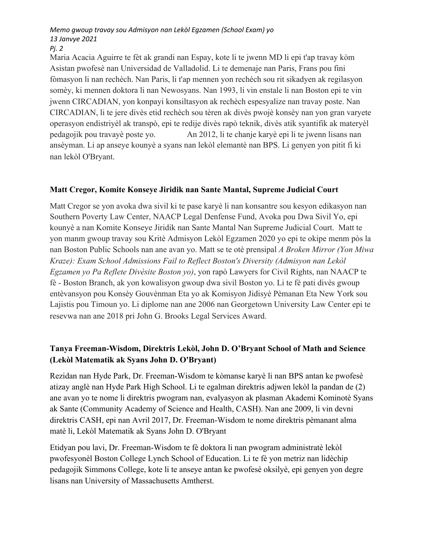# *Memo gwoup travay sou Admisyon nan Lekòl Egzamen (School Exam) yo 13 Janvye 2021*

*Pj. 2*

Maria Acacia Aguirre te fèt ak grandi nan Espay, kote li te jwenn MD li epi t'ap travay kòm Asistan pwofesè nan Universidad de Valladolid. Li te demenaje nan Paris, Frans pou fini fòmasyon li nan rechèch. Nan Paris, li t'ap mennen yon rechèch sou rit sikadyen ak regilasyon somèy, ki mennen doktora li nan Newosyans. Nan 1993, li vin enstale li nan Boston epi te vin jwenn CIRCADIAN, yon konpayi konsiltasyon ak rechèch espesyalize nan travay poste. Nan CIRCADIAN, li te jere divès etid rechèch sou tèren ak divès pwojè konsèy nan yon gran varyete operasyon endistriyèl ak transpò, epi te redije divès rapò teknik, divès atik syantifik ak materyèl pedagojik pou travayè poste yo. An 2012, li te chanje karyè epi li te jwenn lisans nan ansèyman. Li ap anseye kounyè a syans nan lekòl elemantè nan BPS. Li genyen yon pitit fi ki nan lekòl O'Bryant.

## **Matt Cregor, Komite Konseye Jiridik nan Sante Mantal, Supreme Judicial Court**

Matt Cregor se yon avoka dwa sivil ki te pase karyè li nan konsantre sou kesyon edikasyon nan Southern Poverty Law Center, NAACP Legal Denfense Fund, Avoka pou Dwa Sivil Yo, epi kounyè a nan Komite Konseye Jiridik nan Sante Mantal Nan Supreme Judicial Court. Matt te yon manm gwoup travay sou Kritè Admisyon Lekòl Egzamen 2020 yo epi te okipe menm pòs la nan Boston Public Schools nan ane avan yo. Matt se te otè prensipal *A Broken Mirror (Yon Miwa Kraze): Exam School Admissions Fail to Reflect Boston's Diversity (Admisyon nan Lekòl Egzamen yo Pa Reflete Divèsite Boston yo)*, yon rapò Lawyers for Civil Rights, nan NAACP te fè - Boston Branch, ak yon kowalisyon gwoup dwa sivil Boston yo. Li te fè pati divès gwoup entèvansyon pou Konsèy Gouvènman Eta yo ak Komisyon Jidisyè Pèmanan Eta New York sou Lajistis pou Timoun yo. Li diplome nan ane 2006 nan Georgetown University Law Center epi te resevwa nan ane 2018 pri John G. Brooks Legal Services Award.

## **Tanya Freeman-Wisdom, Direktris Lekòl, John D. O'Bryant School of Math and Science (Lekòl Matematik ak Syans John D. O'Bryant)**

Rezidan nan Hyde Park, Dr. Freeman-Wisdom te kòmanse karyè li nan BPS antan ke pwofesè atizay anglè nan Hyde Park High School. Li te egalman direktris adjwen lekòl la pandan de (2) ane avan yo te nome li direktris pwogram nan, evalyasyon ak plasman Akademi Kominotè Syans ak Sante (Community Academy of Science and Health, CASH). Nan ane 2009, li vin devni direktris CASH, epi nan Avril 2017, Dr. Freeman-Wisdom te nome direktris pèmanant alma matè li, Lekòl Matematik ak Syans John D. O'Bryant

Etidyan pou lavi, Dr. Freeman-Wisdom te fè doktora li nan pwogram administratè lekòl pwofesyonèl Boston College Lynch School of Education. Li te fè yon metriz nan lidèchip pedagojik Simmons College, kote li te anseye antan ke pwofesè oksilyè, epi genyen yon degre lisans nan University of Massachusetts Amtherst.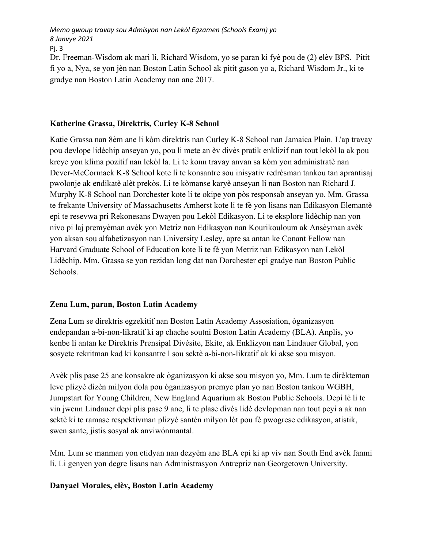*Memo gwoup travay sou Admisyon nan Lekòl Egzamen (Schools Exam) yo 8 Janvye 2021*

Pj. 3

Dr. Freeman-Wisdom ak mari li, Richard Wisdom, yo se paran ki fyè pou de (2) elèv BPS. Pitit fi yo a, Nya, se yon jèn nan Boston Latin School ak pitit gason yo a, Richard Wisdom Jr., ki te gradye nan Boston Latin Academy nan ane 2017.

#### **Katherine Grassa, Direktris, Curley K-8 School**

Katie Grassa nan 8èm ane li kòm direktris nan Curley K-8 School nan Jamaica Plain. L'ap travay pou devlope lidèchip anseyan yo, pou li mete an èv divès pratik enklizif nan tout lekòl la ak pou kreye yon klima pozitif nan lekòl la. Li te konn travay anvan sa kòm yon administratè nan Dever-McCormack K-8 School kote li te konsantre sou inisyativ redrèsman tankou tan aprantisaj pwolonje ak endikatè alèt prekòs. Li te kòmanse karyè anseyan li nan Boston nan Richard J. Murphy K-8 School nan Dorchester kote li te okipe yon pòs responsab anseyan yo. Mm. Grassa te frekante University of Massachusetts Amherst kote li te fè yon lisans nan Edikasyon Elemantè epi te resevwa pri Rekonesans Dwayen pou Lekòl Edikasyon. Li te eksplore lidèchip nan yon nivo pi laj premyèman avèk yon Metriz nan Edikasyon nan Kourikouloum ak Ansèyman avèk yon aksan sou alfabetizasyon nan University Lesley, apre sa antan ke Conant Fellow nan Harvard Graduate School of Education kote li te fè yon Metriz nan Edikasyon nan Lekòl Lidèchip. Mm. Grassa se yon rezidan long dat nan Dorchester epi gradye nan Boston Public Schools.

## **Zena Lum, paran, Boston Latin Academy**

Zena Lum se direktris egzekitif nan Boston Latin Academy Assosiation, òganizasyon endepandan a-bi-non-likratif ki ap chache soutni Boston Latin Academy (BLA). Anplis, yo kenbe li antan ke Direktris Prensipal Divèsite, Ekite, ak Enklizyon nan Lindauer Global, yon sosyete rekritman kad ki konsantre l sou sektè a-bi-non-likratif ak ki akse sou misyon.

Avèk plis pase 25 ane konsakre ak òganizasyon ki akse sou misyon yo, Mm. Lum te dirèkteman leve plizyè dizèn milyon dola pou òganizasyon premye plan yo nan Boston tankou WGBH, Jumpstart for Young Children, New England Aquarium ak Boston Public Schools. Depi lè li te vin jwenn Lindauer depi plis pase 9 ane, li te plase divès lidè devlopman nan tout peyi a ak nan sektè ki te ramase respektivman plizyè santèn milyon lòt pou fè pwogrese edikasyon, atistik, swen sante, jistis sosyal ak anviwónmantal.

Mm. Lum se manman yon etidyan nan dezyèm ane BLA epi ki ap viv nan South End avèk fanmi li. Li genyen yon degre lisans nan Administrasyon Antrepriz nan Georgetown University.

## **Danyael Morales, elèv, Boston Latin Academy**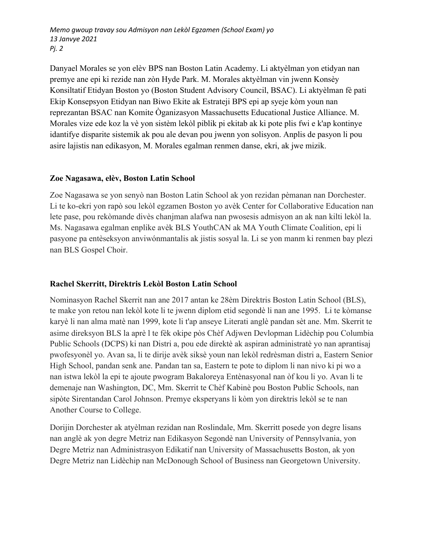*Memo gwoup travay sou Admisyon nan Lekòl Egzamen (School Exam) yo 13 Janvye 2021 Pj. 2*

Danyael Morales se yon elèv BPS nan Boston Latin Academy. Li aktyèlman yon etidyan nan premye ane epi ki rezide nan zòn Hyde Park. M. Morales aktyèlman vin jwenn Konsèy Konsiltatif Etidyan Boston yo (Boston Student Advisory Council, BSAC). Li aktyèlman fè pati Ekip Konsepsyon Etidyan nan Biwo Ekite ak Estrateji BPS epi ap syeje kòm youn nan reprezantan BSAC nan Komite Òganizasyon Massachusetts Educational Justice Alliance. M. Morales vize ede koz la vè yon sistèm lekòl piblik pi ekitab ak ki pote plis fwi e k'ap kontinye idantifye disparite sistemik ak pou ale devan pou jwenn yon solisyon. Anplis de pasyon li pou asire lajistis nan edikasyon, M. Morales egalman renmen danse, ekri, ak jwe mizik.

#### **Zoe Nagasawa, elèv, Boston Latin School**

Zoe Nagasawa se yon senyò nan Boston Latin School ak yon rezidan pèmanan nan Dorchester. Li te ko-ekri yon rapò sou lekòl egzamen Boston yo avèk Center for Collaborative Education nan lete pase, pou rekòmande divès chanjman alafwa nan pwosesis admisyon an ak nan kilti lekòl la. Ms. Nagasawa egalman enplike avèk BLS YouthCAN ak MA Youth Climate Coalition, epi li pasyone pa entèseksyon anviwónmantalis ak jistis sosyal la. Li se yon manm ki renmen bay plezi nan BLS Gospel Choir.

#### **Rachel Skerritt, Direktris Lekòl Boston Latin School**

Nominasyon Rachel Skerrit nan ane 2017 antan ke 28èm Direktris Boston Latin School (BLS), te make yon retou nan lekòl kote li te jwenn diplom etid segondè li nan ane 1995. Li te kòmanse karyè li nan alma matè nan 1999, kote li t'ap anseye Literati anglè pandan sèt ane. Mm. Skerrit te asime direksyon BLS la aprè l te fèk okipe pòs Chèf Adjwen Devlopman Lidèchip pou Columbia Public Schools (DCPS) ki nan Distri a, pou ede direktè ak aspiran administratè yo nan aprantisaj pwofesyonèl yo. Avan sa, li te dirije avèk siksè youn nan lekòl redrèsman distri a, Eastern Senior High School, pandan senk ane. Pandan tan sa, Eastern te pote to diplom li nan nivo ki pi wo a nan istwa lekòl la epi te ajoute pwogram Bakaloreya Entènasyonal nan òf kou li yo. Avan li te demenaje nan Washington, DC, Mm. Skerrit te Chèf Kabinè pou Boston Public Schools, nan sipòte Sirentandan Carol Johnson. Premye eksperyans li kòm yon direktris lekòl se te nan Another Course to College.

Dorijin Dorchester ak atyèlman rezidan nan Roslindale, Mm. Skerritt posede yon degre lisans nan anglè ak yon degre Metriz nan Edikasyon Segondè nan University of Pennsylvania, yon Degre Metriz nan Administrasyon Edikatif nan University of Massachusetts Boston, ak yon Degre Metriz nan Lidèchip nan McDonough School of Business nan Georgetown University.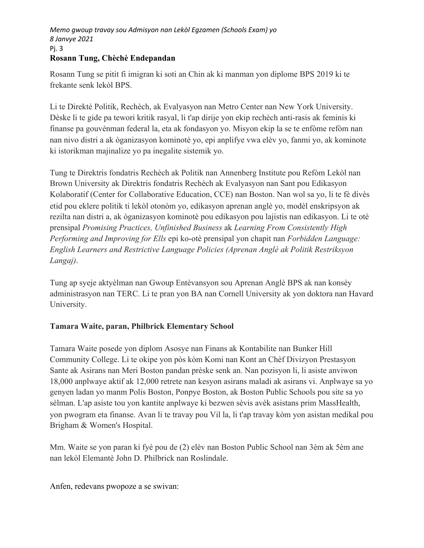#### *Memo gwoup travay sou Admisyon nan Lekòl Egzamen (Schools Exam) yo 8 Janvye 2021* Pj. 3 **Rosann Tung, Chèchè Endepandan**

Rosann Tung se pitit fi imigran ki soti an Chin ak ki manman yon diplome BPS 2019 ki te frekante senk lekòl BPS.

Li te Direktè Politik, Rechèch, ak Evalyasyon nan Metro Center nan New York University. Dèske li te gide pa tewori kritik rasyal, li t'ap dirije yon ekip rechèch anti-rasis ak feminis ki finanse pa gouvènman federal la, eta ak fondasyon yo. Misyon ekip la se te enfòme refòm nan nan nivo distri a ak òganizasyon kominotè yo, epi anplifye vwa elèv yo, fanmi yo, ak kominote ki istorikman majinalize yo pa inegalite sistemik yo.

Tung te Direktris fondatris Rechèch ak Politik nan Annenberg Institute pou Refòm Lekòl nan Brown University ak Direktris fondatris Rechèch ak Evalyasyon nan Sant pou Edikasyon Kolaboratif (Center for Collaborative Education, CCE) nan Boston. Nan wol sa yo, li te fè divès etid pou eklere politik ti lekòl otonòm yo, edikasyon aprenan anglè yo, modèl enskripsyon ak rezilta nan distri a, ak òganizasyon kominotè pou edikasyon pou lajistis nan edikasyon. Li te otè prensipal *Promising Practices, Unfinished Business* ak *Learning From Consistently High Performing and Improving for Ells* epi ko-otè prensipal yon chapit nan *Forbidden Language: English Learners and Restrictive Language Policies (Aprenan Anglè ak Politik Restriksyon Langaj)*.

Tung ap syeje aktyèlman nan Gwoup Entèvansyon sou Aprenan Anglè BPS ak nan konsèy administrasyon nan TERC. Li te pran yon BA nan Cornell University ak yon doktora nan Havard University.

## **Tamara Waite, paran, Philbrick Elementary School**

Tamara Waite posede yon diplom Asosye nan Finans ak Kontabilite nan Bunker Hill Community College. Li te okipe yon pòs kòm Komi nan Kont an Chèf Divizyon Prestasyon Sante ak Asirans nan Meri Boston pandan prèske senk an. Nan pozisyon li, li asiste anviwon 18,000 anplwaye aktif ak 12,000 retrete nan kesyon asirans maladi ak asirans vi. Anplwaye sa yo genyen ladan yo manm Polis Boston, Ponpye Boston, ak Boston Public Schools pou site sa yo sèlman. L'ap asiste tou yon kantite anplwaye ki bezwen sèvis avèk asistans prim MassHealth, yon pwogram eta finanse. Avan li te travay pou Vil la, li t'ap travay kòm yon asistan medikal pou Brigham & Women's Hospital.

Mm. Waite se yon paran ki fyè pou de (2) elèv nan Boston Public School nan 3èm ak 5èm ane nan lekòl Elemantè John D. Philbrick nan Roslindale.

Anfen, redevans pwopoze a se swivan: